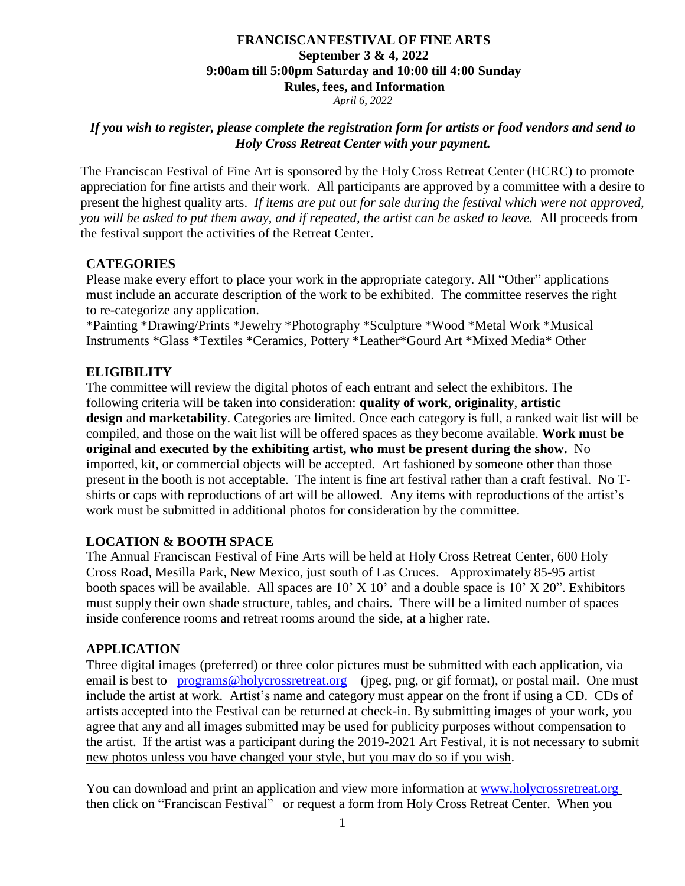# **FRANCISCAN FESTIVAL OF FINE ARTS September 3 & 4, 2022 9:00am till 5:00pm Saturday and 10:00 till 4:00 Sunday Rules, fees, and Information**

*April 6, 2022*

#### *If you wish to register, please complete the registration form for artists or food vendors and send to Holy Cross Retreat Center with your payment.*

The Franciscan Festival of Fine Art is sponsored by the Holy Cross Retreat Center (HCRC) to promote appreciation for fine artists and their work. All participants are approved by a committee with a desire to present the highest quality arts. *If items are put out for sale during the festival which were not approved, you will be asked to put them away, and if repeated, the artist can be asked to leave.* All proceeds from the festival support the activities of the Retreat Center.

## **CATEGORIES**

Please make every effort to place your work in the appropriate category. All "Other" applications must include an accurate description of the work to be exhibited. The committee reserves the right to re-categorize any application.

\*Painting \*Drawing/Prints \*Jewelry \*Photography \*Sculpture \*Wood \*Metal Work \*Musical Instruments \*Glass \*Textiles \*Ceramics, Pottery \*Leather\*Gourd Art \*Mixed Media\* Other

## **ELIGIBILITY**

The committee will review the digital photos of each entrant and select the exhibitors. The following criteria will be taken into consideration: **quality of work**, **originality**, **artistic design** and **marketability**. Categories are limited. Once each category is full, a ranked wait list will be compiled, and those on the wait list will be offered spaces as they become available. **Work must be original and executed by the exhibiting artist, who must be present during the show.** No imported, kit, or commercial objects will be accepted. Art fashioned by someone other than those present in the booth is not acceptable. The intent is fine art festival rather than a craft festival. No Tshirts or caps with reproductions of art will be allowed. Any items with reproductions of the artist's work must be submitted in additional photos for consideration by the committee.

#### **LOCATION & BOOTH SPACE**

The Annual Franciscan Festival of Fine Arts will be held at Holy Cross Retreat Center, 600 Holy Cross Road, Mesilla Park, New Mexico, just south of Las Cruces. Approximately 85-95 artist booth spaces will be available. All spaces are 10' X 10' and a double space is 10' X 20". Exhibitors must supply their own shade structure, tables, and chairs. There will be a limited number of spaces inside conference rooms and retreat rooms around the side, at a higher rate.

# **APPLICATION**

Three digital images (preferred) or three color pictures must be submitted with each application, via email is best to [programs@holycrossretreat.org](mailto:programs@holycrossretreat.org) (jpeg, png, or gif format), or postal mail. One must include the artist at work. Artist's name and category must appear on the front if using a CD. CDs of artists accepted into the Festival can be returned at check-in. By submitting images of your work, you agree that any and all images submitted may be used for publicity purposes without compensation to the artist. If the artist was a participant during the 2019-2021 Art Festival, it is not necessary to submit new photos unless you have changed your style, but you may do so if you wish.

You can download and print an application and view more information at [www.holycrossretreat.org](http://www.holycrossretreat.org/) then click on "Franciscan Festival" or request a form from Holy Cross Retreat Center. When you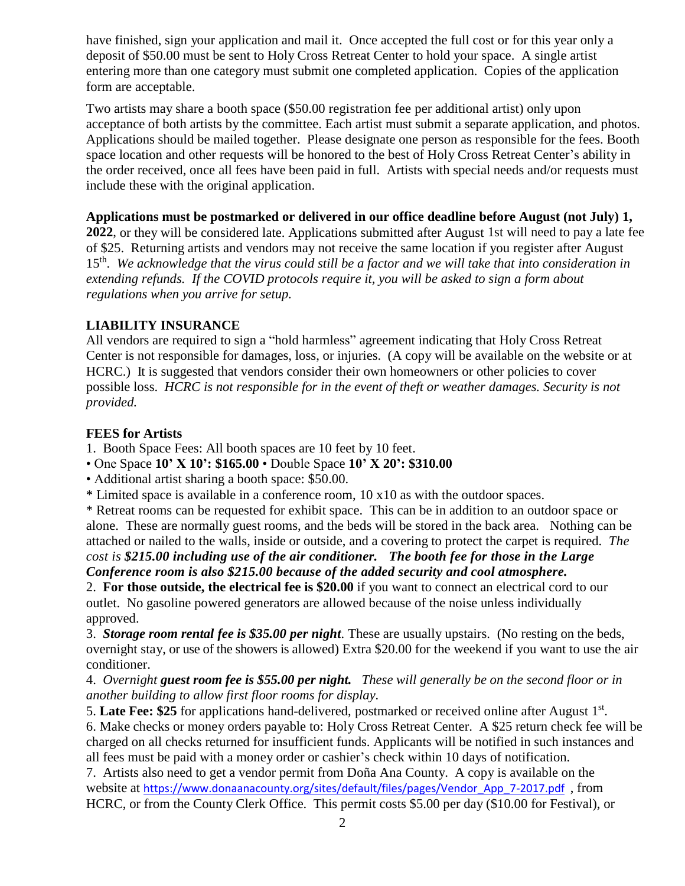have finished, sign your application and mail it. Once accepted the full cost or for this year only a deposit of \$50.00 must be sent to Holy Cross Retreat Center to hold your space. A single artist entering more than one category must submit one completed application. Copies of the application form are acceptable.

Two artists may share a booth space (\$50.00 registration fee per additional artist) only upon acceptance of both artists by the committee. Each artist must submit a separate application, and photos. Applications should be mailed together. Please designate one person as responsible for the fees. Booth space location and other requests will be honored to the best of Holy Cross Retreat Center's ability in the order received, once all fees have been paid in full. Artists with special needs and/or requests must include these with the original application.

## **Applications must be postmarked or delivered in our office deadline before August (not July) 1,**

**2022**, or they will be considered late. Applications submitted after August 1st will need to pay a late fee of \$25. Returning artists and vendors may not receive the same location if you register after August 15th . *We acknowledge that the virus could still be a factor and we will take that into consideration in extending refunds. If the COVID protocols require it, you will be asked to sign a form about regulations when you arrive for setup.*

## **LIABILITY INSURANCE**

All vendors are required to sign a "hold harmless" agreement indicating that Holy Cross Retreat Center is not responsible for damages, loss, or injuries. (A copy will be available on the website or at HCRC.) It is suggested that vendors consider their own homeowners or other policies to cover possible loss. *HCRC is not responsible for in the event of theft or weather damages. Security is not provided.*

#### **FEES for Artists**

1. Booth Space Fees: All booth spaces are 10 feet by 10 feet.

• One Space **10' X 10': \$165.00** • Double Space **10' X 20': \$310.00**

• Additional artist sharing a booth space: \$50.00.

\* Limited space is available in a conference room, 10 x10 as with the outdoor spaces.

\* Retreat rooms can be requested for exhibit space. This can be in addition to an outdoor space or alone. These are normally guest rooms, and the beds will be stored in the back area. Nothing can be attached or nailed to the walls, inside or outside, and a covering to protect the carpet is required. *The cost is \$215.00 including use of the air conditioner. The booth fee for those in the Large Conference room is also \$215.00 because of the added security and cool atmosphere.*

2. **For those outside, the electrical fee is \$20.00** if you want to connect an electrical cord to our outlet. No gasoline powered generators are allowed because of the noise unless individually approved.

3. *Storage room rental fee is \$35.00 per night.* These are usually upstairs. (No resting on the beds, overnight stay, or use of the showers is allowed) Extra \$20.00 for the weekend if you want to use the air conditioner.

4. *Overnight guest room fee is \$55.00 per night. These will generally be on the second floor or in another building to allow first floor rooms for display.*

5. Late Fee: \$25 for applications hand-delivered, postmarked or received online after August 1<sup>st</sup>.

6. Make checks or money orders payable to: Holy Cross Retreat Center. A \$25 return check fee will be charged on all checks returned for insufficient funds. Applicants will be notified in such instances and all fees must be paid with a money order or cashier's check within 10 days of notification.

7. Artists also need to get a vendor permit from Doña Ana County. A copy is available on the website at https://www.donaanacounty.org/sites/default/files/pages/Vendor\_App\_7-2017.pdf, from HCRC, or from the County Clerk Office. This permit costs \$5.00 per day (\$10.00 for Festival), or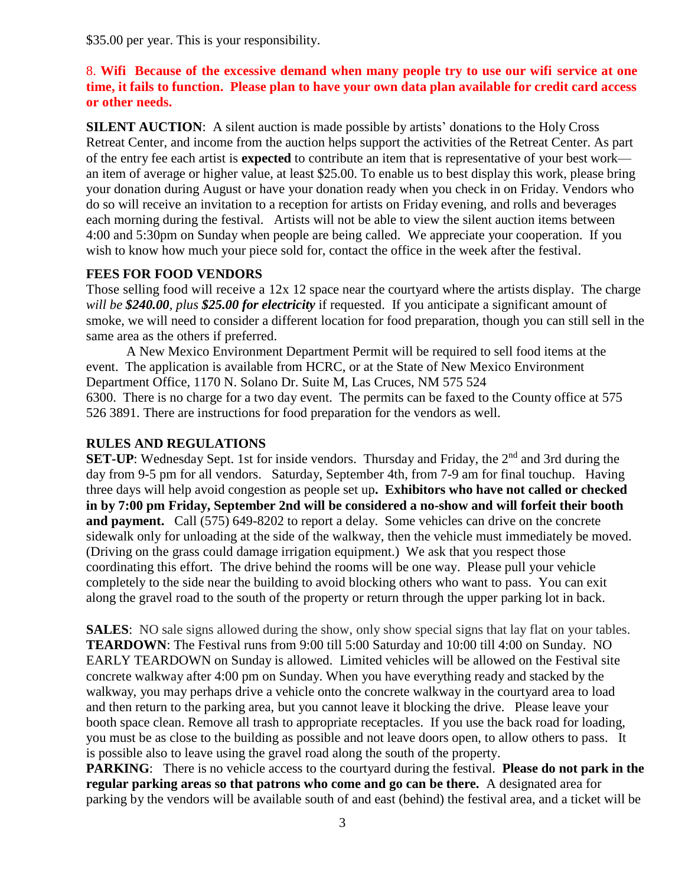\$35.00 per year. This is your responsibility.

# 8. **Wifi Because of the excessive demand when many people try to use our wifi service at one time, it fails to function. Please plan to have your own data plan available for credit card access or other needs.**

**SILENT AUCTION:** A silent auction is made possible by artists' donations to the Holy Cross Retreat Center, and income from the auction helps support the activities of the Retreat Center. As part of the entry fee each artist is **expected** to contribute an item that is representative of your best work an item of average or higher value, at least \$25.00. To enable us to best display this work, please bring your donation during August or have your donation ready when you check in on Friday. Vendors who do so will receive an invitation to a reception for artists on Friday evening, and rolls and beverages each morning during the festival. Artists will not be able to view the silent auction items between 4:00 and 5:30pm on Sunday when people are being called. We appreciate your cooperation. If you wish to know how much your piece sold for, contact the office in the week after the festival.

# **FEES FOR FOOD VENDORS**

Those selling food will receive a 12x 12 space near the courtyard where the artists display. The charge *will be \$240.00, plus \$25.00 for electricity* if requested. If you anticipate a significant amount of smoke, we will need to consider a different location for food preparation, though you can still sell in the same area as the others if preferred.

A New Mexico Environment Department Permit will be required to sell food items at the event. The application is available from HCRC, or at the State of New Mexico Environment Department Office, 1170 N. Solano Dr. Suite M, Las Cruces, NM 575 524 6300. There is no charge for a two day event. The permits can be faxed to the County office at 575 526 3891. There are instructions for food preparation for the vendors as well.

#### **RULES AND REGULATIONS**

**SET-UP**: Wednesday Sept. 1st for inside vendors. Thursday and Friday, the 2<sup>nd</sup> and 3rd during the day from 9-5 pm for all vendors. Saturday, September 4th, from 7-9 am for final touchup. Having three days will help avoid congestion as people set up**. Exhibitors who have not called or checked in by 7:00 pm Friday, September 2nd will be considered a no-show and will forfeit their booth and payment.** Call (575) 649-8202 to report a delay. Some vehicles can drive on the concrete sidewalk only for unloading at the side of the walkway, then the vehicle must immediately be moved. (Driving on the grass could damage irrigation equipment.) We ask that you respect those coordinating this effort. The drive behind the rooms will be one way. Please pull your vehicle completely to the side near the building to avoid blocking others who want to pass. You can exit along the gravel road to the south of the property or return through the upper parking lot in back.

**SALES:** NO sale signs allowed during the show, only show special signs that lay flat on your tables. **TEARDOWN**: The Festival runs from 9:00 till 5:00 Saturday and 10:00 till 4:00 on Sunday. NO EARLY TEARDOWN on Sunday is allowed. Limited vehicles will be allowed on the Festival site concrete walkway after 4:00 pm on Sunday. When you have everything ready and stacked by the walkway, you may perhaps drive a vehicle onto the concrete walkway in the courtyard area to load and then return to the parking area, but you cannot leave it blocking the drive. Please leave your booth space clean. Remove all trash to appropriate receptacles. If you use the back road for loading, you must be as close to the building as possible and not leave doors open, to allow others to pass. It is possible also to leave using the gravel road along the south of the property.

**PARKING**: There is no vehicle access to the courtyard during the festival. **Please do not park in the regular parking areas so that patrons who come and go can be there.** A designated area for parking by the vendors will be available south of and east (behind) the festival area, and a ticket will be